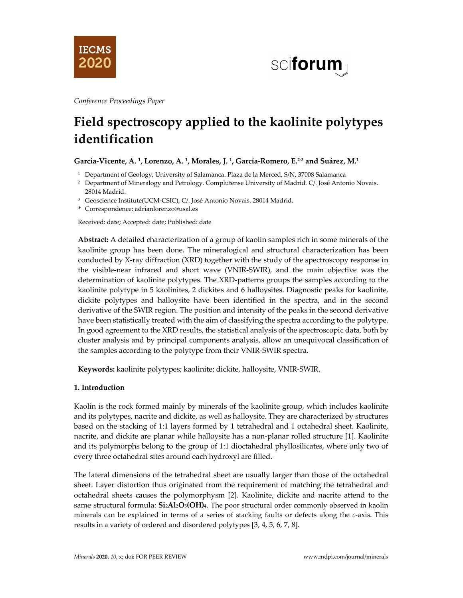



*Conference Proceedings Paper*

# **Field spectroscopy applied to the kaolinite polytypes identification**

# **García-Vicente, A. 1, Lorenzo, A. 1, Morales, J. 1, García-Romero, E.2-3 and Suárez, M.1**

- <sup>1</sup> Department of Geology, University of Salamanca. Plaza de la Merced, S/N, 37008 Salamanca
- <sup>2</sup> Department of Mineralogy and Petrology. Complutense University of Madrid. C/. José Antonio Novais. 28014 Madrid.
- <sup>3</sup> Geoscience Institute(UCM-CSIC), C/. José Antonio Novais. 28014 Madrid.
- **\*** Correspondence: adrianlorenzo@usal.es

Received: date; Accepted: date; Published: date

**Abstract:** A detailed characterization of a group of kaolin samples rich in some minerals of the kaolinite group has been done. The mineralogical and structural characterization has been conducted by X-ray diffraction (XRD) together with the study of the spectroscopy response in the visible-near infrared and short wave (VNIR-SWIR), and the main objective was the determination of kaolinite polytypes. The XRD-patterns groups the samples according to the kaolinite polytype in 5 kaolinites, 2 dickites and 6 halloysites. Diagnostic peaks for kaolinite, dickite polytypes and halloysite have been identified in the spectra, and in the second derivative of the SWIR region. The position and intensity of the peaks in the second derivative have been statistically treated with the aim of classifying the spectra according to the polytype. In good agreement to the XRD results, the statistical analysis of the spectroscopic data, both by cluster analysis and by principal components analysis, allow an unequivocal classification of the samples according to the polytype from their VNIR-SWIR spectra.

**Keywords:** kaolinite polytypes; kaolinite; dickite, halloysite, VNIR-SWIR.

# **1. Introduction**

Kaolin is the rock formed mainly by minerals of the kaolinite group, which includes kaolinite and its polytypes, nacrite and dickite, as well as halloysite. They are characterized by structures based on the stacking of 1:1 layers formed by 1 tetrahedral and 1 octahedral sheet. Kaolinite, nacrite, and dickite are planar while halloysite has a non-planar rolled structure [1]. Kaolinite and its polymorphs belong to the group of 1:1 dioctahedral phyllosilicates, where only two of every three octahedral sites around each hydroxyl are filled.

The lateral dimensions of the tetrahedral sheet are usually larger than those of the octahedral sheet. Layer distortion thus originated from the requirement of matching the tetrahedral and octahedral sheets causes the polymorphysm [2]. Kaolinite, dickite and nacrite attend to the same structural formula: **Si2Al2O5(OH)4**. The poor structural order commonly observed in kaolin minerals can be explained in terms of a series of stacking faults or defects along the *c*-axis. This results in a variety of ordered and disordered polytypes [3, 4, 5, 6, 7, 8].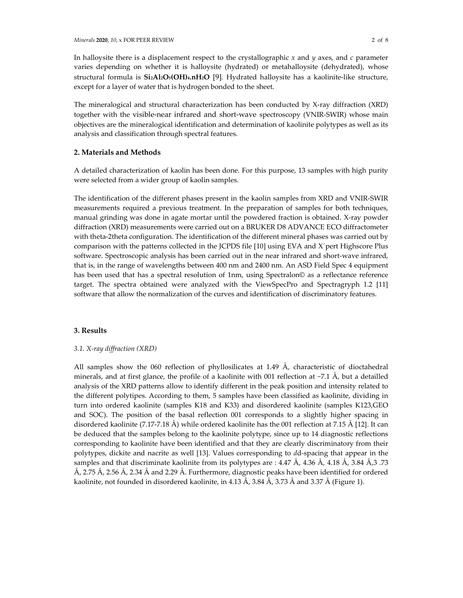In halloysite there is a displacement respect to the crystallographic *x* and *y* axes, and *c* parameter varies depending on whether it is halloysite (hydrated) or metahalloysite (dehydrated), whose structural formula is **Si2Al2O5(OH)4.nH2O** [9]. Hydrated halloysite has a kaolinite-like structure, except for a layer of water that is hydrogen bonded to the sheet.

The mineralogical and structural characterization has been conducted by X-ray diffraction (XRD) together with the visible-near infrared and short-wave spectroscopy (VNIR-SWIR) whose main objectives are the mineralogical identification and determination of kaolinite polytypes as well as its analysis and classification through spectral features.

## **2. Materials and Methods**

A detailed characterization of kaolin has been done. For this purpose, 13 samples with high purity were selected from a wider group of kaolin samples.

The identification of the different phases present in the kaolin samples from XRD and VNIR-SWIR measurements required a previous treatment. In the preparation of samples for both techniques, manual grinding was done in agate mortar until the powdered fraction is obtained. X-ray powder diffraction (XRD) measurements were carried out on a BRUKER D8 ADVANCE ECO diffractometer with theta-2theta configuration. The identification of the different mineral phases was carried out by comparison with the patterns collected in the JCPDS file [10] using EVA and X´pert Highscore Plus software. Spectroscopic analysis has been carried out in the near infrared and short-wave infrared, that is, in the range of wavelengths between 400 nm and 2400 nm. An ASD Field Spec 4 equipment has been used that has a spectral resolution of 1nm, using Spectralon© as a reflectance reference target. The spectra obtained were analyzed with the ViewSpecPro and Spectragryph 1.2 [11] software that allow the normalization of the curves and identification of discriminatory features.

## **3. Results**

#### *3.1. X-ray diffraction (XRD)*

All samples show the 060 reflection of phyllosilicates at 1.49  $\AA$ , characteristic of dioctahedral minerals, and at first glance, the profile of a kaolinite with 001 reflection at  $\sim$ 7.1 Å, but a detailled analysis of the XRD patterns allow to identify different in the peak position and intensity related to the different polytipes. According to them, 5 samples have been classified as kaolinite, dividing in turn into ordered kaolinite (samples K18 and K33) and disordered kaolinite (samples K123,GEO and SOC). The position of the basal reflection 001 corresponds to a slightly higher spacing in disordered kaolinite (7.17-7.18 Å) while ordered kaolinite has the 001 reflection at 7.15 Å [12]. It can be deduced that the samples belong to the kaolinite polytype, since up to 14 diagnostic reflections corresponding to kaolinite have been identified and that they are clearly discriminatory from their polytypes, dickite and nacrite as well [13]. Values corresponding to *d*d-spacing that appear in the samples and that discriminate kaolinite from its polytypes are : 4.47 Å, 4.36 Å, 4.18 Å, 3.84 Å,3 .73 Å, 2.75 Å, 2.56 Å, 2.34 Å and 2.29 Å. Furthermore, diagnostic peaks have been identified for ordered kaolinite, not founded in disordered kaolinite, in 4.13 Å, 3.84 Å, 3.73 Å and 3.37 Å (Figure 1).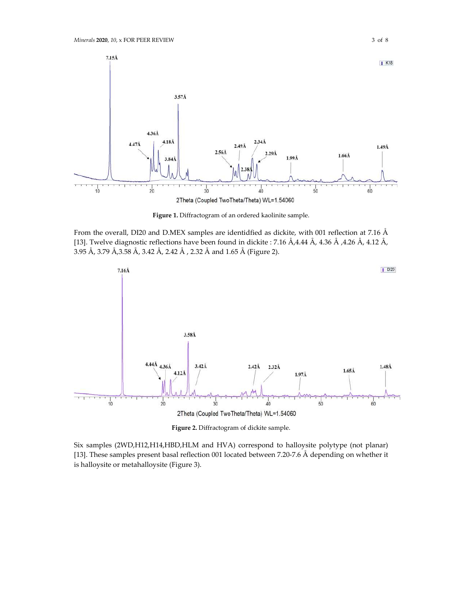

**Figure 1.** Diffractogram of an ordered kaolinite sample.

From the overall, DI20 and D.MEX samples are identidfied as dickite, with 001 reflection at 7.16 Å [13]. Twelve diagnostic reflections have been found in dickite : 7.16 Å,4.44 Å, 4.36 Å ,4.26 Å, 4.12 Å, 3.95 Å, 3.79 Å,3.58 Å, 3.42 Å, 2.42 Å , 2.32 Å and 1.65 Å (Figure 2).



**Figure 2.** Diffractogram of dickite sample.

Six samples (2WD,H12,H14,HBD,HLM and HVA) correspond to halloysite polytype (not planar) [13]. These samples present basal reflection 001 located between 7.20-7.6 Å depending on whether it is halloysite or metahalloysite (Figure 3).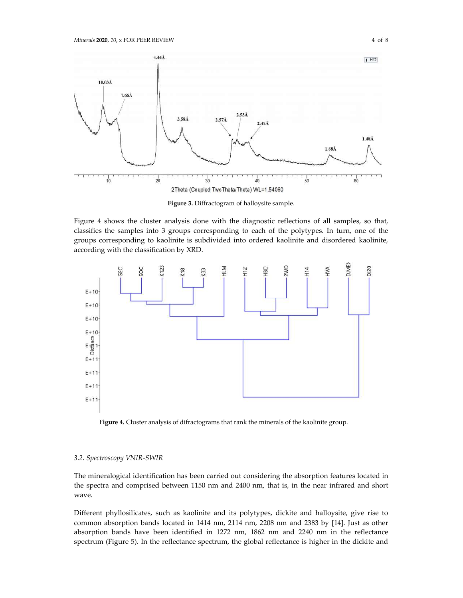

**Figure 3.** Diffractogram of halloysite sample.

Figure 4 shows the cluster analysis done with the diagnostic reflections of all samples, so that, classifies the samples into 3 groups corresponding to each of the polytypes. In turn, one of the groups corresponding to kaolinite is subdivided into ordered kaolinite and disordered kaolinite, according with the classification by XRD.



**Figure 4.** Cluster analysis of difractograms that rank the minerals of the kaolinite group.

#### *3.2. Spectroscopy VNIR-SWIR*

The mineralogical identification has been carried out considering the absorption features located in the spectra and comprised between 1150 nm and 2400 nm, that is, in the near infrared and short wave.

Different phyllosilicates, such as kaolinite and its polytypes, dickite and halloysite, give rise to common absorption bands located in 1414 nm, 2114 nm, 2208 nm and 2383 by [14]. Just as other absorption bands have been identified in 1272 nm, 1862 nm and 2240 nm in the reflectance spectrum (Figure 5). In the reflectance spectrum, the global reflectance is higher in the dickite and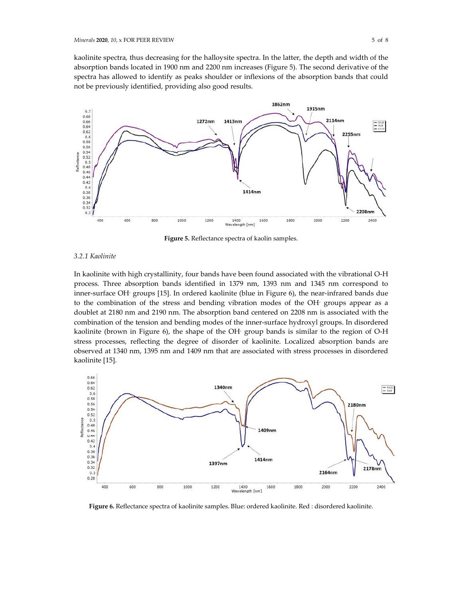kaolinite spectra, thus decreasing for the halloysite spectra. In the latter, the depth and width of the absorption bands located in 1900 nm and 2200 nm increases (Figure 5). The second derivative of the spectra has allowed to identify as peaks shoulder or inflexions of the absorption bands that could not be previously identified, providing also good results.



**Figure 5.** Reflectance spectra of kaolin samples.

#### *3.2.1 Kaolinite*

In kaolinite with high crystallinity, four bands have been found associated with the vibrational O-H process. Three absorption bands identified in 1379 nm, 1393 nm and 1345 nm correspond to inner-surface OH- groups [15]. In ordered kaolinite (blue in Figure 6), the near-infrared bands due to the combination of the stress and bending vibration modes of the OH- groups appear as a doublet at 2180 nm and 2190 nm. The absorption band centered on 2208 nm is associated with the combination of the tension and bending modes of the inner-surface hydroxyl groups. In disordered kaolinite (brown in Figure 6), the shape of the OH- group bands is similar to the region of O-H stress processes, reflecting the degree of disorder of kaolinite. Localized absorption bands are observed at 1340 nm, 1395 nm and 1409 nm that are associated with stress processes in disordered kaolinite [15].



**Figure 6.** Reflectance spectra of kaolinite samples. Blue: ordered kaolinite. Red : disordered kaolinite.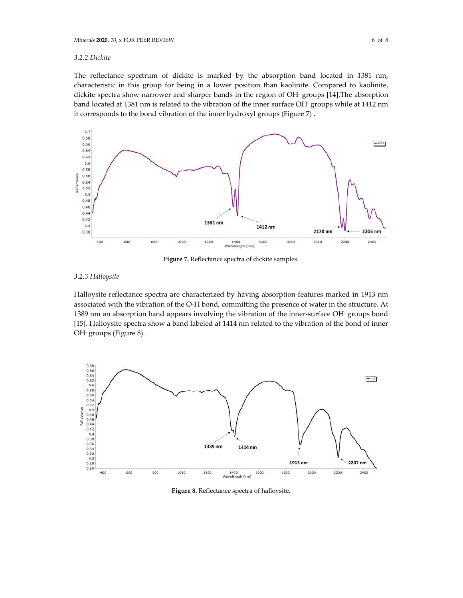#### *3.2.2 Dickite*

The reflectance spectrum of dickite is marked by the absorption band located in 1381 nm, characteristic in this group for being in a lower position than kaolinite. Compared to kaolinite, dickite spectra show narrower and sharper bands in the region of OH- groups [14].The absorption band located at 1381 nm is related to the vibration of the inner surface OH- groups while at 1412 nm it corresponds to the bond vibration of the inner hydroxyl groups (Figure 7) .



**Figure 7.** Reflectance spectra of dickite samples.

#### *3.2.3 Halloysite*

Halloysite reflectance spectra are characterized by having absorption features marked in 1913 nm associated with the vibration of the O-H bond, committing the presence of water in the structure. At 1389 nm an absorption band appears involving the vibration of the inner-surface OH- groups bond [15]. Halloysite spectra show a band labeled at 1414 nm related to the vibration of the bond of inner OH- groups (Figure 8).



**Figure 8.** Reflectance spectra of halloysite.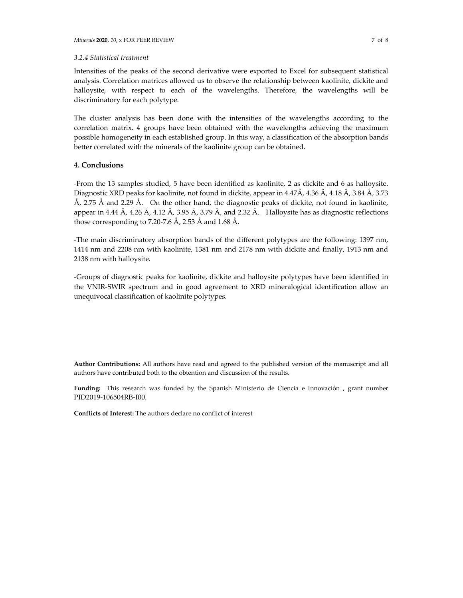Intensities of the peaks of the second derivative were exported to Excel for subsequent statistical analysis. Correlation matrices allowed us to observe the relationship between kaolinite, dickite and halloysite, with respect to each of the wavelengths. Therefore, the wavelengths will be discriminatory for each polytype.

The cluster analysis has been done with the intensities of the wavelengths according to the correlation matrix. 4 groups have been obtained with the wavelengths achieving the maximum possible homogeneity in each established group. In this way, a classification of the absorption bands better correlated with the minerals of the kaolinite group can be obtained.

## **4. Conclusions**

-From the 13 samples studied, 5 have been identified as kaolinite, 2 as dickite and 6 as halloysite. Diagnostic XRD peaks for kaolinite, not found in dickite, appear in 4.47Å, 4.36 Å, 4.18 Å, 3.84 Å, 3.73  $\AA$ , 2.75  $\AA$  and 2.29  $\AA$ . On the other hand, the diagnostic peaks of dickite, not found in kaolinite, appear in 4.44 Å, 4.26 Å, 4.12 Å, 3.95 Å, 3.79 Å, and 2.32 Å. Halloysite has as diagnostic reflections those corresponding to 7.20-7.6 Å, 2.53 Å and 1.68 Å.

-The main discriminatory absorption bands of the different polytypes are the following: 1397 nm, 1414 nm and 2208 nm with kaolinite, 1381 nm and 2178 nm with dickite and finally, 1913 nm and 2138 nm with halloysite.

-Groups of diagnostic peaks for kaolinite, dickite and halloysite polytypes have been identified in the VNIR-SWIR spectrum and in good agreement to XRD mineralogical identification allow an unequivocal classification of kaolinite polytypes.

**Author Contributions:** All authors have read and agreed to the published version of the manuscript and all authors have contributed both to the obtention and discussion of the results.

**Funding:** This research was funded by the Spanish Ministerio de Ciencia e Innovación , grant number PID2019-106504RB-I00.

**Conflicts of Interest:** The authors declare no conflict of interest